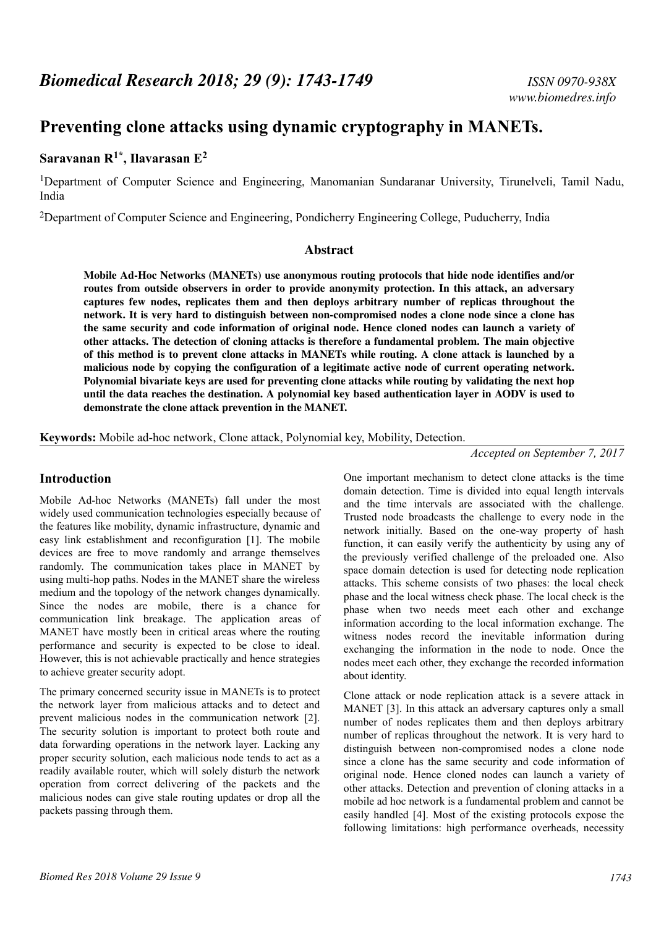# **Preventing clone attacks using dynamic cryptography in MANETs.**

# **Saravanan R1\*, Ilavarasan E<sup>2</sup>**

<sup>1</sup>Department of Computer Science and Engineering, Manomanian Sundaranar University, Tirunelveli, Tamil Nadu, India

<sup>2</sup>Department of Computer Science and Engineering, Pondicherry Engineering College, Puducherry, India

#### **Abstract**

**Mobile Ad-Hoc Networks (MANETs) use anonymous routing protocols that hide node identifies and/or routes from outside observers in order to provide anonymity protection. In this attack, an adversary captures few nodes, replicates them and then deploys arbitrary number of replicas throughout the network. It is very hard to distinguish between non-compromised nodes a clone node since a clone has the same security and code information of original node. Hence cloned nodes can launch a variety of other attacks. The detection of cloning attacks is therefore a fundamental problem. The main objective of this method is to prevent clone attacks in MANETs while routing. A clone attack is launched by a malicious node by copying the configuration of a legitimate active node of current operating network. Polynomial bivariate keys are used for preventing clone attacks while routing by validating the next hop until the data reaches the destination. A polynomial key based authentication layer in AODV is used to demonstrate the clone attack prevention in the MANET.**

**Keywords:** Mobile ad-hoc network, Clone attack, Polynomial key, Mobility, Detection.

#### *Accepted on September 7, 2017*

## **Introduction**

Mobile Ad-hoc Networks (MANETs) fall under the most widely used communication technologies especially because of the features like mobility, dynamic infrastructure, dynamic and easy link establishment and reconfiguration [1]. The mobile devices are free to move randomly and arrange themselves randomly. The communication takes place in MANET by using multi-hop paths. Nodes in the MANET share the wireless medium and the topology of the network changes dynamically. Since the nodes are mobile, there is a chance for communication link breakage. The application areas of MANET have mostly been in critical areas where the routing performance and security is expected to be close to ideal. However, this is not achievable practically and hence strategies to achieve greater security adopt.

The primary concerned security issue in MANETs is to protect the network layer from malicious attacks and to detect and prevent malicious nodes in the communication network [2]. The security solution is important to protect both route and data forwarding operations in the network layer. Lacking any proper security solution, each malicious node tends to act as a readily available router, which will solely disturb the network operation from correct delivering of the packets and the malicious nodes can give stale routing updates or drop all the packets passing through them.

One important mechanism to detect clone attacks is the time domain detection. Time is divided into equal length intervals and the time intervals are associated with the challenge. Trusted node broadcasts the challenge to every node in the network initially. Based on the one-way property of hash function, it can easily verify the authenticity by using any of the previously verified challenge of the preloaded one. Also space domain detection is used for detecting node replication attacks. This scheme consists of two phases: the local check phase and the local witness check phase. The local check is the phase when two needs meet each other and exchange information according to the local information exchange. The witness nodes record the inevitable information during exchanging the information in the node to node. Once the nodes meet each other, they exchange the recorded information about identity.

Clone attack or node replication attack is a severe attack in MANET [3]. In this attack an adversary captures only a small number of nodes replicates them and then deploys arbitrary number of replicas throughout the network. It is very hard to distinguish between non-compromised nodes a clone node since a clone has the same security and code information of original node. Hence cloned nodes can launch a variety of other attacks. Detection and prevention of cloning attacks in a mobile ad hoc network is a fundamental problem and cannot be easily handled [4]. Most of the existing protocols expose the following limitations: high performance overheads, necessity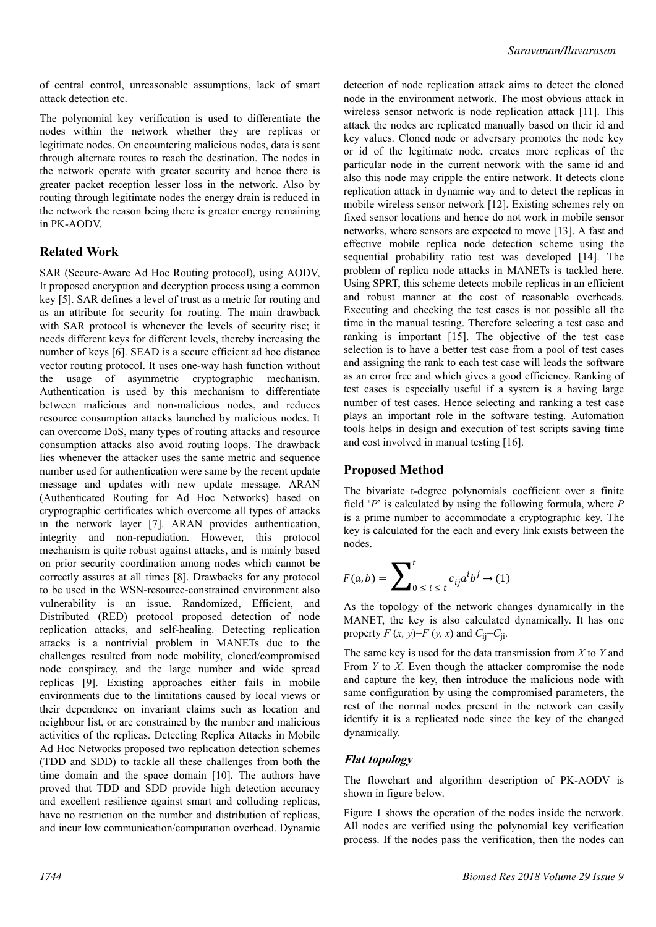of central control, unreasonable assumptions, lack of smart attack detection etc.

The polynomial key verification is used to differentiate the nodes within the network whether they are replicas or legitimate nodes. On encountering malicious nodes, data is sent through alternate routes to reach the destination. The nodes in the network operate with greater security and hence there is greater packet reception lesser loss in the network. Also by routing through legitimate nodes the energy drain is reduced in the network the reason being there is greater energy remaining in PK-AODV.

## **Related Work**

SAR (Secure-Aware Ad Hoc Routing protocol), using AODV, It proposed encryption and decryption process using a common key [5]. SAR defines a level of trust as a metric for routing and as an attribute for security for routing. The main drawback with SAR protocol is whenever the levels of security rise; it needs different keys for different levels, thereby increasing the number of keys [6]. SEAD is a secure efficient ad hoc distance vector routing protocol. It uses one-way hash function without the usage of asymmetric cryptographic mechanism. Authentication is used by this mechanism to differentiate between malicious and non-malicious nodes, and reduces resource consumption attacks launched by malicious nodes. It can overcome DoS, many types of routing attacks and resource consumption attacks also avoid routing loops. The drawback lies whenever the attacker uses the same metric and sequence number used for authentication were same by the recent update message and updates with new update message. ARAN (Authenticated Routing for Ad Hoc Networks) based on cryptographic certificates which overcome all types of attacks in the network layer [7]. ARAN provides authentication, integrity and non-repudiation. However, this protocol mechanism is quite robust against attacks, and is mainly based on prior security coordination among nodes which cannot be correctly assures at all times [8]. Drawbacks for any protocol to be used in the WSN-resource-constrained environment also vulnerability is an issue. Randomized, Efficient, and Distributed (RED) protocol proposed detection of node replication attacks, and self-healing. Detecting replication attacks is a nontrivial problem in MANETs due to the challenges resulted from node mobility, cloned/compromised node conspiracy, and the large number and wide spread replicas [9]. Existing approaches either fails in mobile environments due to the limitations caused by local views or their dependence on invariant claims such as location and neighbour list, or are constrained by the number and malicious activities of the replicas. Detecting Replica Attacks in Mobile Ad Hoc Networks proposed two replication detection schemes (TDD and SDD) to tackle all these challenges from both the time domain and the space domain [10]. The authors have proved that TDD and SDD provide high detection accuracy and excellent resilience against smart and colluding replicas, have no restriction on the number and distribution of replicas, and incur low communication/computation overhead. Dynamic detection of node replication attack aims to detect the cloned node in the environment network. The most obvious attack in wireless sensor network is node replication attack [11]. This attack the nodes are replicated manually based on their id and key values. Cloned node or adversary promotes the node key or id of the legitimate node, creates more replicas of the particular node in the current network with the same id and also this node may cripple the entire network. It detects clone replication attack in dynamic way and to detect the replicas in mobile wireless sensor network [12]. Existing schemes rely on fixed sensor locations and hence do not work in mobile sensor networks, where sensors are expected to move [13]. A fast and effective mobile replica node detection scheme using the sequential probability ratio test was developed [14]. The problem of replica node attacks in MANETs is tackled here. Using SPRT, this scheme detects mobile replicas in an efficient and robust manner at the cost of reasonable overheads. Executing and checking the test cases is not possible all the time in the manual testing. Therefore selecting a test case and ranking is important [15]. The objective of the test case selection is to have a better test case from a pool of test cases and assigning the rank to each test case will leads the software as an error free and which gives a good efficiency. Ranking of test cases is especially useful if a system is a having large number of test cases. Hence selecting and ranking a test case plays an important role in the software testing. Automation tools helps in design and execution of test scripts saving time and cost involved in manual testing [16].

## **Proposed Method**

The bivariate t-degree polynomials coefficient over a finite field '*P*' is calculated by using the following formula, where *P* is a prime number to accommodate a cryptographic key. The key is calculated for the each and every link exists between the nodes.

$$
F(a,b) = \sum_{0 \le i \le t}^{t} c_{ij} a^i b^j \to (1)
$$

As the topology of the network changes dynamically in the MANET, the key is also calculated dynamically. It has one property  $F(x, y) = F(y, x)$  and  $C_{ii} = C_{ii}$ .

The same key is used for the data transmission from *X* to *Y* and From *Y* to *X*. Even though the attacker compromise the node and capture the key, then introduce the malicious node with same configuration by using the compromised parameters, the rest of the normal nodes present in the network can easily identify it is a replicated node since the key of the changed dynamically.

#### **Flat topology**

The flowchart and algorithm description of PK-AODV is shown in figure below.

Figure 1 shows the operation of the nodes inside the network. All nodes are verified using the polynomial key verification process. If the nodes pass the verification, then the nodes can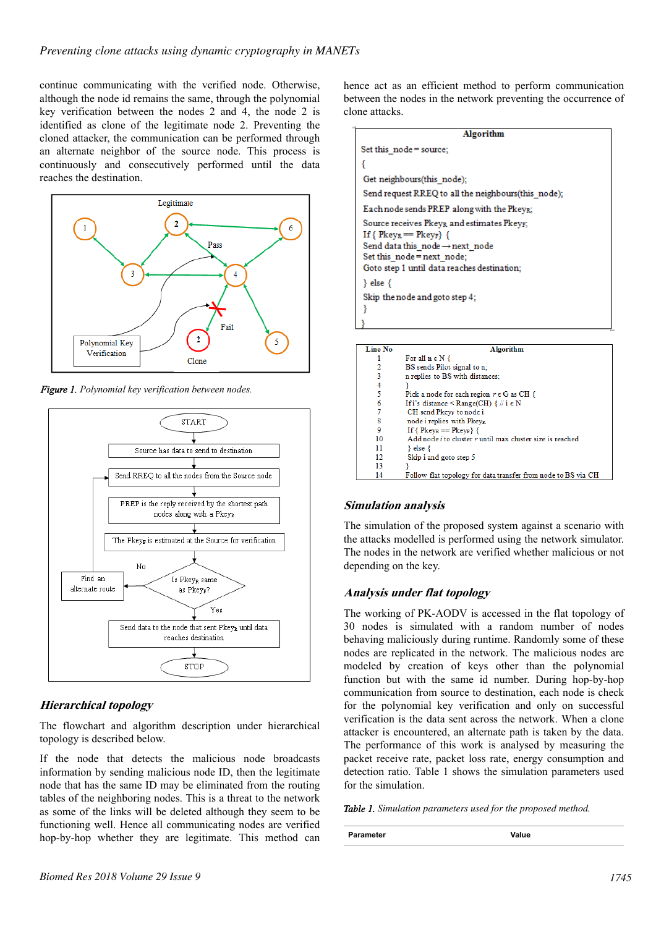continue communicating with the verified node. Otherwise, although the node id remains the same, through the polynomial key verification between the nodes 2 and 4, the node 2 is identified as clone of the legitimate node 2. Preventing the cloned attacker, the communication can be performed through an alternate neighbor of the source node. This process is continuously and consecutively performed until the data reaches the destination.



*Figure 1. Polynomial key verification between nodes.*



## **Hierarchical topology**

The flowchart and algorithm description under hierarchical topology is described below.

If the node that detects the malicious node broadcasts information by sending malicious node ID, then the legitimate node that has the same ID may be eliminated from the routing tables of the neighboring nodes. This is a threat to the network as some of the links will be deleted although they seem to be functioning well. Hence all communicating nodes are verified hop-by-hop whether they are legitimate. This method can hence act as an efficient method to perform communication between the nodes in the network preventing the occurrence of clone attacks.

| Algorithm                                                                                                                                                                                                    |  |  |  |
|--------------------------------------------------------------------------------------------------------------------------------------------------------------------------------------------------------------|--|--|--|
| Set this node = source;                                                                                                                                                                                      |  |  |  |
|                                                                                                                                                                                                              |  |  |  |
| Get neighbours(this node);                                                                                                                                                                                   |  |  |  |
| Send request RREQ to all the neighbours(this node);                                                                                                                                                          |  |  |  |
| Each node sends $PREF$ along with the $Pkey_{R}$ :                                                                                                                                                           |  |  |  |
| Source receives $Pkey_R$ and estimates $Pkey_F$ ;<br>If { $Pkey_R == Pkey_F$ {<br>Send data this node $\rightarrow$ next node<br>Set this $node = next node;$<br>Goto step 1 until data reaches destination; |  |  |  |
| } else {                                                                                                                                                                                                     |  |  |  |
| Skip the node and goto step 4;                                                                                                                                                                               |  |  |  |
|                                                                                                                                                                                                              |  |  |  |
|                                                                                                                                                                                                              |  |  |  |

| <b>Line No</b> | <b>Algorithm</b>                                                        |  |  |
|----------------|-------------------------------------------------------------------------|--|--|
|                | For all $n \in N$ {                                                     |  |  |
| 2              | BS sends Pilot signal to n;                                             |  |  |
| 3              | n replies to BS with distances;                                         |  |  |
| 4              |                                                                         |  |  |
| 5              | Pick a node for each region $r \in G$ as CH {                           |  |  |
| 6              | If i's distance $\leq$ Range(CH) $\{ \#$ i $\in$ N                      |  |  |
| 7              | CH send Pkey <sub>F</sub> to node i                                     |  |  |
| 8              | node i replies with Pkeyg                                               |  |  |
| 9              | If { $P_{\text{keyR}} == P_{\text{keyF}}$ {                             |  |  |
| 10             | Add node <i>i</i> to cluster <i>r</i> until max cluster size is reached |  |  |
| 11             | $\}$ else $\{$                                                          |  |  |
| 12             | Skip i and goto step 5                                                  |  |  |
| 13             |                                                                         |  |  |
| 14             | Follow flat topology for data transfer from node to BS via CH           |  |  |

## **Simulation analysis**

The simulation of the proposed system against a scenario with the attacks modelled is performed using the network simulator. The nodes in the network are verified whether malicious or not depending on the key.

## **Analysis under flat topology**

The working of PK-AODV is accessed in the flat topology of 30 nodes is simulated with a random number of nodes behaving maliciously during runtime. Randomly some of these nodes are replicated in the network. The malicious nodes are modeled by creation of keys other than the polynomial function but with the same id number. During hop-by-hop communication from source to destination, each node is check for the polynomial key verification and only on successful verification is the data sent across the network. When a clone attacker is encountered, an alternate path is taken by the data. The performance of this work is analysed by measuring the packet receive rate, packet loss rate, energy consumption and detection ratio. Table 1 shows the simulation parameters used for the simulation.

*Table 1. Simulation parameters used for the proposed method.*

**Parameter Value**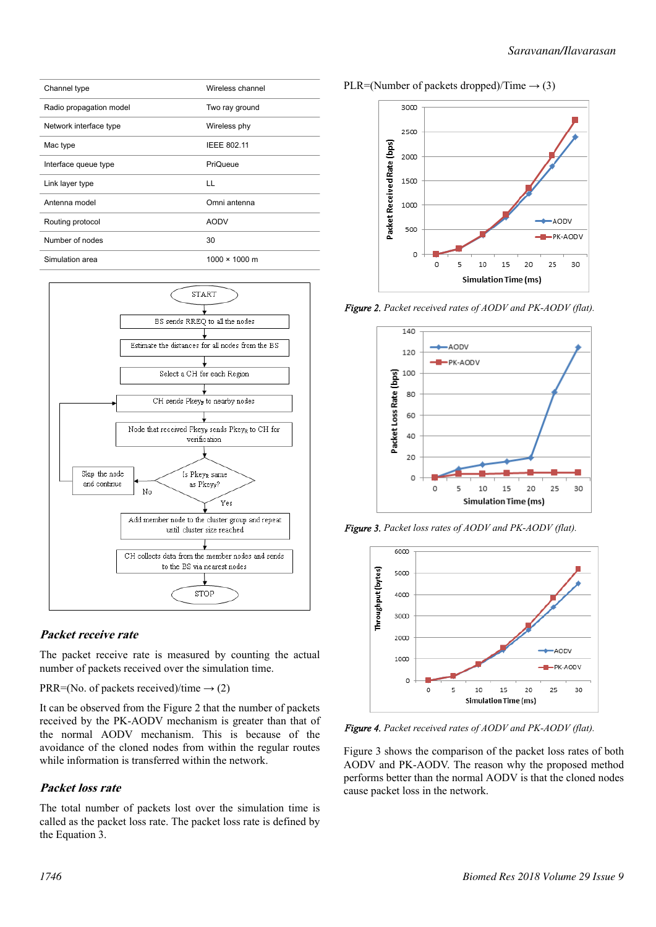|  |  | PLR=(Number of packets dropped)/Time $\rightarrow$ (3) |  |
|--|--|--------------------------------------------------------|--|
|--|--|--------------------------------------------------------|--|



*Figure 2. Packet received rates of AODV and PK-AODV (flat).*



*Figure 3. Packet loss rates of AODV and PK-AODV (flat).*



*Figure 4. Packet received rates of AODV and PK-AODV (flat).*

Figure 3 shows the comparison of the packet loss rates of both AODV and PK-AODV. The reason why the proposed method performs better than the normal AODV is that the cloned nodes cause packet loss in the network.





# **Packet receive rate**

The packet receive rate is measured by counting the actual number of packets received over the simulation time.

PRR=(No. of packets received)/time  $\rightarrow$  (2)

It can be observed from the Figure 2 that the number of packets received by the PK-AODV mechanism is greater than that of the normal AODV mechanism. This is because of the avoidance of the cloned nodes from within the regular routes while information is transferred within the network.

# **Packet loss rate**

The total number of packets lost over the simulation time is called as the packet loss rate. The packet loss rate is defined by the Equation 3.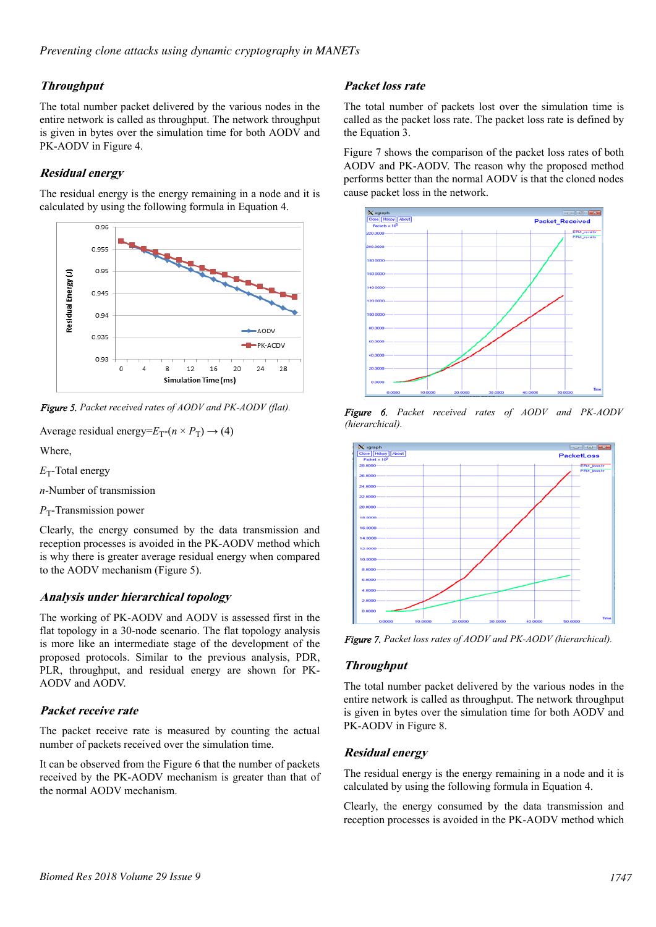## **Throughput**

The total number packet delivered by the various nodes in the entire network is called as throughput. The network throughput is given in bytes over the simulation time for both AODV and PK-AODV in Figure 4.

# **Residual energy**

The residual energy is the energy remaining in a node and it is calculated by using the following formula in Equation 4.



*Figure 5. Packet received rates of AODV and PK-AODV (flat).*

```
Average residual energy=E_T-(n \times P_T) \rightarrow (4)
```
Where,

E<sub>T</sub>-Total energy

*n*-Number of transmission

*P*<sub>T</sub>-Transmission power

Clearly, the energy consumed by the data transmission and reception processes is avoided in the PK-AODV method which is why there is greater average residual energy when compared to the AODV mechanism (Figure 5).

## **Analysis under hierarchical topology**

The working of PK-AODV and AODV is assessed first in the flat topology in a 30-node scenario. The flat topology analysis is more like an intermediate stage of the development of the proposed protocols. Similar to the previous analysis, PDR, PLR, throughput, and residual energy are shown for PK-AODV and AODV.

# **Packet receive rate**

The packet receive rate is measured by counting the actual number of packets received over the simulation time.

It can be observed from the Figure 6 that the number of packets received by the PK-AODV mechanism is greater than that of the normal AODV mechanism.

## **Packet loss rate**

The total number of packets lost over the simulation time is called as the packet loss rate. The packet loss rate is defined by the Equation 3.

Figure 7 shows the comparison of the packet loss rates of both AODV and PK-AODV. The reason why the proposed method performs better than the normal AODV is that the cloned nodes cause packet loss in the network.



*Figure 6. Packet received rates of AODV and PK-AODV (hierarchical).*



*Figure 7. Packet loss rates of AODV and PK-AODV (hierarchical).*

## **Throughput**

The total number packet delivered by the various nodes in the entire network is called as throughput. The network throughput is given in bytes over the simulation time for both AODV and PK-AODV in Figure 8.

## **Residual energy**

The residual energy is the energy remaining in a node and it is calculated by using the following formula in Equation 4.

Clearly, the energy consumed by the data transmission and reception processes is avoided in the PK-AODV method which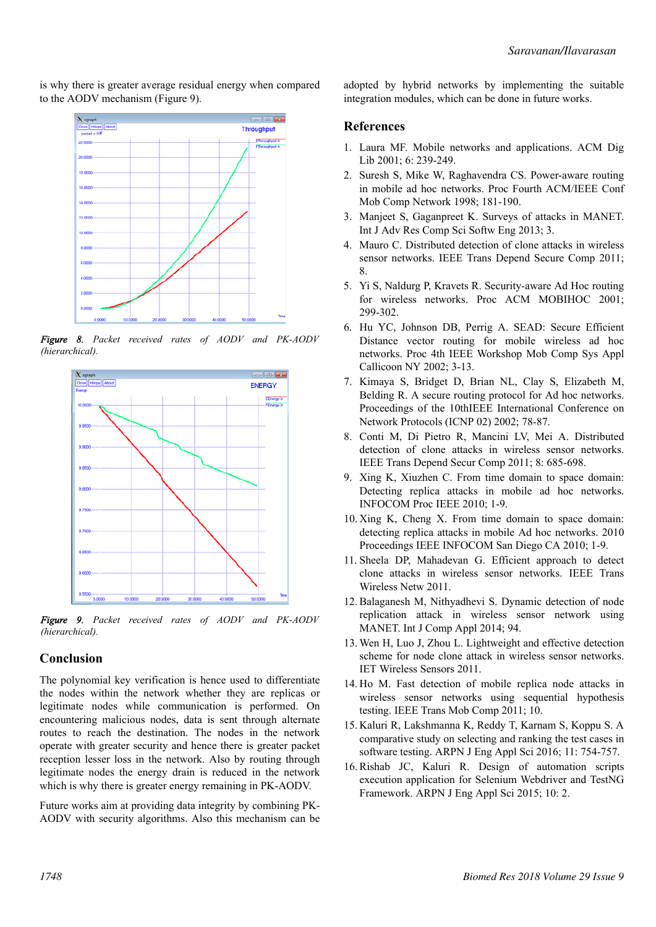is why there is greater average residual energy when compared to the AODV mechanism (Figure 9).



*Figure 8. Packet received rates of AODV and PK-AODV (hierarchical).*



*Figure 9. Packet received rates of AODV and PK-AODV (hierarchical).*

#### **Conclusion**

The polynomial key verification is hence used to differentiate the nodes within the network whether they are replicas or legitimate nodes while communication is performed. On encountering malicious nodes, data is sent through alternate routes to reach the destination. The nodes in the network operate with greater security and hence there is greater packet reception lesser loss in the network. Also by routing through legitimate nodes the energy drain is reduced in the network which is why there is greater energy remaining in PK-AODV.

Future works aim at providing data integrity by combining PK-AODV with security algorithms. Also this mechanism can be adopted by hybrid networks by implementing the suitable integration modules, which can be done in future works.

#### **References**

- 1. Laura MF. Mobile networks and applications. ACM Dig Lib 2001; 6: 239-249.
- 2. Suresh S, Mike W, Raghavendra CS. Power-aware routing in mobile ad hoc networks. Proc Fourth ACM/IEEE Conf Mob Comp Network 1998; 181-190.
- 3. Manjeet S, Gaganpreet K. Surveys of attacks in MANET. Int J Adv Res Comp Sci Softw Eng 2013; 3.
- 4. Mauro C. Distributed detection of clone attacks in wireless sensor networks. IEEE Trans Depend Secure Comp 2011; 8.
- 5. Yi S, Naldurg P, Kravets R. Security-aware Ad Hoc routing for wireless networks. Proc ACM MOBIHOC 2001; 299-302.
- 6. Hu YC, Johnson DB, Perrig A. SEAD: Secure Efficient Distance vector routing for mobile wireless ad hoc networks. Proc 4th IEEE Workshop Mob Comp Sys Appl Callicoon NY 2002; 3-13.
- 7. Kimaya S, Bridget D, Brian NL, Clay S, Elizabeth M, Belding R. A secure routing protocol for Ad hoc networks. Proceedings of the 10thIEEE International Conference on Network Protocols (ICNP 02) 2002; 78-87.
- 8. Conti M, Di Pietro R, Mancini LV, Mei A. Distributed detection of clone attacks in wireless sensor networks. IEEE Trans Depend Secur Comp 2011; 8: 685-698.
- 9. Xing K, Xiuzhen C. From time domain to space domain: Detecting replica attacks in mobile ad hoc networks. INFOCOM Proc IEEE 2010; 1-9.
- 10. Xing K, Cheng X. From time domain to space domain: detecting replica attacks in mobile Ad hoc networks. 2010 Proceedings IEEE INFOCOM San Diego CA 2010; 1-9.
- 11. Sheela DP, Mahadevan G. Efficient approach to detect clone attacks in wireless sensor networks. IEEE Trans Wireless Netw 2011.
- 12. Balaganesh M, Nithyadhevi S. Dynamic detection of node replication attack in wireless sensor network using MANET. Int J Comp Appl 2014; 94.
- 13. Wen H, Luo J, Zhou L. Lightweight and effective detection scheme for node clone attack in wireless sensor networks. IET Wireless Sensors 2011.
- 14. Ho M. Fast detection of mobile replica node attacks in wireless sensor networks using sequential hypothesis testing. IEEE Trans Mob Comp 2011; 10.
- 15. Kaluri R, Lakshmanna K, Reddy T, Karnam S, Koppu S. A comparative study on selecting and ranking the test cases in software testing. ARPN J Eng Appl Sci 2016; 11: 754-757.
- 16. Rishab JC, Kaluri R. Design of automation scripts execution application for Selenium Webdriver and TestNG Framework. ARPN J Eng Appl Sci 2015; 10: 2.